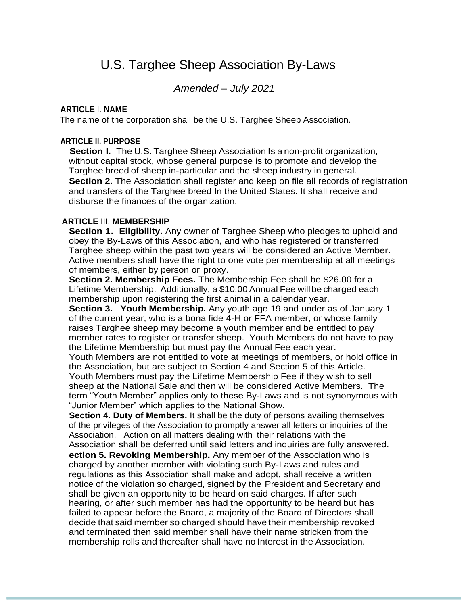# U.S. Targhee Sheep Association By-Laws

*Amended* – *July 2021*

#### **ARTICLE** I. **NAME**

The name of the corporation shall be the U.S. Targhee Sheep Association.

#### **ARTICLE II. PURPOSE**

**Section l.** The U.S. Targhee Sheep Association Is a non-profit organization, without capital stock, whose general purpose is to promote and develop the Targhee breed of sheep in-particular and the sheep industry in general. **Section 2.** The Association shall register and keep on file all records of registration and transfers of the Targhee breed In the United States. It shall receive and disburse the finances of the organization.

#### **ARTICLE** III. **MEMBERSHIP**

**Section 1. Eligibility.** Any owner of Targhee Sheep who pledges to uphold and obey the By-Laws of this Association, and who has registered or transferred Targhee sheep within the past two years will be considered an Active Member**.**  Active members shall have the right to one vote per membership at all meetings of members, either by person or proxy.

**Section 2. Membership Fees.** The Membership Fee shall be \$26.00 for a Lifetime Membership. Additionally, a \$10.00Annual Fee willbe charged each membership upon registering the first animal in a calendar year.

**Section 3. Youth Membership.** Any youth age 19 and under as of January 1 of the current year, who is a bona fide 4-H or FFA member, or whose family raises Targhee sheep may become a youth member and be entitled to pay member rates to register or transfer sheep. Youth Members do not have to pay the Lifetime Membership but must pay the Annual Fee each year.

Youth Members are not entitled to vote at meetings of members, or hold office in the Association, but are subject to Section 4 and Section 5 of this Article. Youth Members must pay the Lifetime Membership Fee if they wish to sell sheep at the National Sale and then will be considered Active Members. The term "Youth Member" applies only to these By-Laws and is not synonymous with "Junior Member" which applies to the National Show.

**Section 4. Duty of Members.** It shall be the duty of persons availing themselves of the privileges of the Association to promptly answer all letters or inquiries of the Association. Action on all matters dealing with their relations with the Association shall be deferred until said letters and inquiries are fully answered. **ection 5. Revoking Membership.** Any member of the Association who is charged by another member with violating such By-Laws and rules and regulations as this Association shall make and adopt, shall receive a written notice of the violation so charged, signed by the President and Secretary and shall be given an opportunity to be heard on said charges. If after such hearing, or after such member has had the opportunity to be heard but has failed to appear before the Board, a majority of the Board of Directors shall decide that said member so charged should have their membership revoked and terminated then said member shall have their name stricken from the membership rolls and thereafter shall have no Interest in the Association.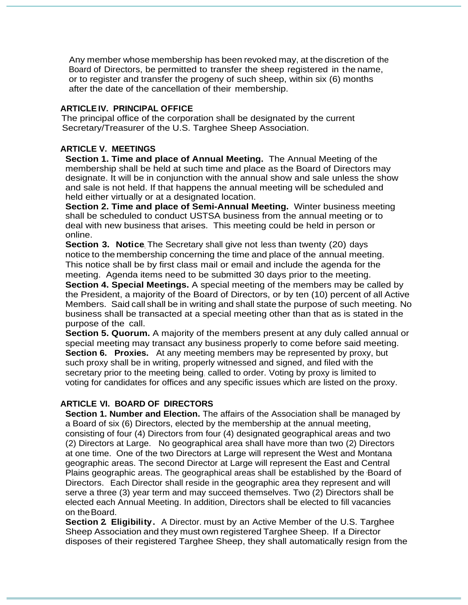Any member whose membership has been revoked may, at the discretion of the Board of Directors, be permitted to transfer the sheep registered in the name, or to register and transfer the progeny of such sheep, within six (6) months after the date of the cancellation of their membership.

## **ARTICLEIV. PRINCIPAL OFFICE**

The principal office of the corporation shall be designated by the current Secretary/Treasurer of the U.S. Targhee Sheep Association.

## **ARTICLE V. MEETINGS**

**Section 1. Time and place of Annual Meeting.** The Annual Meeting of the membership shall be held at such time and place as the Board of Directors may designate. It will be in conjunction with the annual show and sale unless the show and sale is not held. If that happens the annual meeting will be scheduled and held either virtually or at a designated location.

**Section 2. Time and place of Semi-Annual Meeting.** Winter business meeting shall be scheduled to conduct USTSA business from the annual meeting or to deal with new business that arises. This meeting could be held in person or online.

**Section 3. Notice** The Secretary shall give not less than twenty (20) days notice to the membership concerning the time and place of the annual meeting. This notice shall be by first class mail or email and include the agenda for the meeting. Agenda items need to be submitted 30 days prior to the meeting.

**Section 4. Special Meetings.** A special meeting of the members may be called by the President, a majority of the Board of Directors, or by ten (10) percent of all Active Members. Said call shall be in writing and shall state the purpose of such meeting. No business shall be transacted at a special meeting other than that as is stated in the purpose of the call.

**Section 5. Quorum.** A majority of the members present at any duly called annual or special meeting may transact any business properly to come before said meeting. **Section 6. Proxies.** At any meeting members may be represented by proxy, but such proxy shall be in writing, properly witnessed and signed, and filed with the secretary prior to the meeting being, called to order. Voting by proxy is limited to voting for candidates for offices and any specific issues which are listed on the proxy.

## **ARTICLE VI. BOARD OF DIRECTORS**

**Section 1. Number and Election.** The affairs of the Association shall be managed by a Board of six (6) Directors, elected by the membership at the annual meeting, consisting of four (4) Directors from four (4) designated geographical areas and two (2) Directors at Large. No geographical area shall have more than two (2) Directors at one time. One of the two Directors at Large will represent the West and Montana geographic areas. The second Director at Large will represent the East and Central Plains geographic areas. The geographical areas shall be established by the •Board of Directors. Each Director shall reside in the geographic area they represent and will serve a three (3) year term and may succeed themselves. Two (2) Directors shall be elected each Annual Meeting. In addition, Directors shall be elected to fill vacancies on theBoard.

**Section 2. Eligibility.** A Director. must by an Active Member of the U.S. Targhee Sheep Association and they must own registered Targhee Sheep. If a Director disposes of their registered Targhee Sheep, they shall automatically resign from the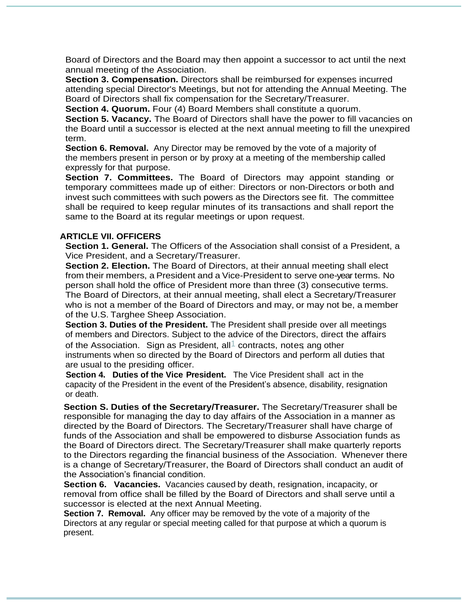Board of Directors and the Board may then appoint a successor to act until the next annual meeting of the Association.

**Section 3. Compensation.** Directors shall be reimbursed for expenses incurred attending special Director's Meetings, but not for attending the Annual Meeting. The Board of Directors shall fix compensation for the Secretary/Treasurer.

**Section 4. Quorum.** Four (4) Board Members shall constitute a quorum.

**Section 5. Vacancy.** The Board of Directors shall have the power to fill vacancies on the Board until a successor is elected at the next annual meeting to fill the unexpired term.

**Section 6. Removal.** Any Director may be removed by the vote of a majority of the members present in person or by proxy at a meeting of the membership called expressly for that purpose.

**Section 7. Committees.** The Board of Directors may appoint standing or temporary committees made up of either: Directors or non-Directors or both and invest such committees with such powers as the Directors see fit. The committee shall be required to keep regular minutes of its transactions and shall report the same to the Board at its regular meetings or upon request.

#### **ARTICLE VII. OFFICERS**

**Section 1. General.** The Officers of the Association shall consist of a President, a Vice President, and a Secretary/Treasurer.

**Section 2. Election.** The Board of Directors, at their annual meeting shall elect from their members, a President and a Vice-President to serve one-year terms. No person shall hold the office of President more than three (3) consecutive terms. The Board of Directors, at their annual meeting, shall elect a Secretary/Treasurer who is not a member of the Board of Directors and may, or may not be, a member of the U.S. Targhee Sheep Association.

**Section 3. Duties of the President.** The President shall preside over all meetings of members and Directors. Subject to the advice of the Directors, direct the affairs of the Association. Sign as President, all<sup>1</sup> contracts, notes ang other instruments when so directed by the Board of Directors and perform all duties that are usual to the presiding officer.

**Section 4. Duties of the Vice President.** The Vice President shall act in the capacity of the President in the event of the President's absence, disability, resignation or death.

**Section S. Duties of the Secretary/Treasurer.** The Secretary/Treasurer shall be responsible for managing the day to day affairs of the Association in a manner as directed by the Board of Directors. The Secretary/Treasurer shall have charge of funds of the Association and shall be empowered to disburse Association funds as the Board of Directors direct. The Secretary/Treasurer shall make quarterly reports to the Directors regarding the financial business of the Association. Whenever there is a change of Secretary/Treasurer, the Board of Directors shall conduct an audit of the Association's financial condition.

**Section 6. Vacancies.** Vacancies caused by death, resignation, incapacity, or removal from office shall be filled by the Board of Directors and shall serve until a successor is elected at the next Annual Meeting.

**Section 7. Removal.** Any officer may be removed by the vote of a majority of the Directors at any regular or special meeting called for that purpose at which a quorum is present.